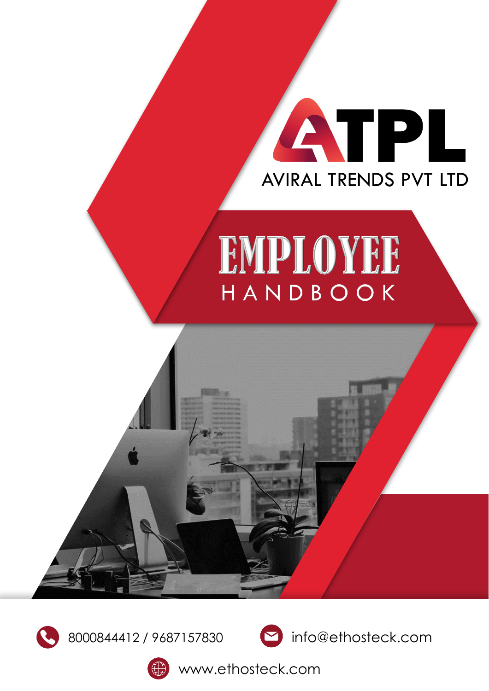# ATPL AVIRAL TRENDS PVT LTD

# EMPLOYEE HANDBOOK







www.ethosteck.com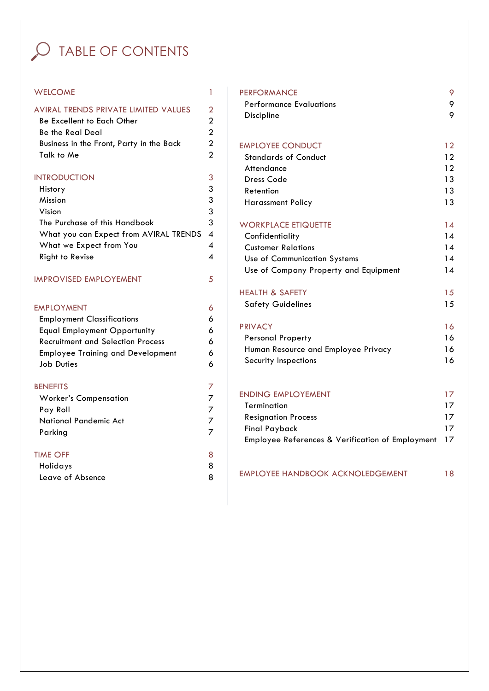### O TABLE OF CONTENTS

#### WELCOME 1

| AVIRAL TRENDS PRIVATE LIMITED VALUES     |  |
|------------------------------------------|--|
| Be Excellent to Each Other               |  |
| Be the Real Deal                         |  |
| Business in the Front, Party in the Back |  |
| Talk to Me                               |  |
|                                          |  |

3

6

#### INTRODUCTION

| History                                  |   |
|------------------------------------------|---|
| Mission                                  | 3 |
| Vision                                   | 3 |
| The Purchase of this Handbook            | 3 |
| What you can Expect from AVIRAL TRENDS 4 |   |
| What we Expect from You                  |   |
| Right to Revise                          |   |
|                                          |   |

#### **IMPROVISED EMPLOYEMENT** 5

#### EMPLOYMENT

| <b>Employment Classifications</b> | 6 |
|-----------------------------------|---|
| Equal Employment Opportunity      | 6 |
| Recruitment and Selection Process | 6 |
| Employee Training and Development | 6 |
| <b>Job Duties</b>                 | 6 |
| <b>BENEFITS</b>                   |   |
| <b>Worker's Compensation</b>      |   |
| Pay Roll                          |   |
| National Pandemic Act             |   |
| Parking                           |   |
| <b>TIME OFF</b>                   | 8 |
| Holidays                          | я |
| Leave of Absence                  | 8 |

| <b>PERFORMANCE</b>                               | 9  |
|--------------------------------------------------|----|
| <b>Performance Evaluations</b>                   | 9  |
| Discipline                                       | 9  |
| <b>EMPLOYEE CONDUCT</b>                          | 12 |
| <b>Standards of Conduct</b>                      | 12 |
| Attendance                                       | 12 |
| <b>Dress Code</b>                                | 13 |
| Retention                                        | 13 |
| <b>Harassment Policy</b>                         | 13 |
| <b>WORKPLACE ETIQUETTE</b>                       | 14 |
| Confidentiality                                  | 14 |
| <b>Customer Relations</b>                        | 14 |
| Use of Communication Systems                     | 14 |
| Use of Company Property and Equipment            | 14 |
| <b>HEALTH &amp; SAFETY</b>                       | 15 |
| <b>Safety Guidelines</b>                         | 15 |
| <b>PRIVACY</b>                                   | 16 |
| <b>Personal Property</b>                         | 16 |
| Human Resource and Employee Privacy              | 16 |
| Security Inspections                             | 16 |
| <b>ENDING EMPLOYEMENT</b>                        | 17 |
| Termination                                      | 17 |
| <b>Resignation Process</b>                       | 17 |
| <b>Final Payback</b>                             | 17 |
| Employee References & Verification of Employment | 17 |

| EMPLOYEE HANDBOOK ACKNOLEDGEMENT | 18 |
|----------------------------------|----|
|                                  |    |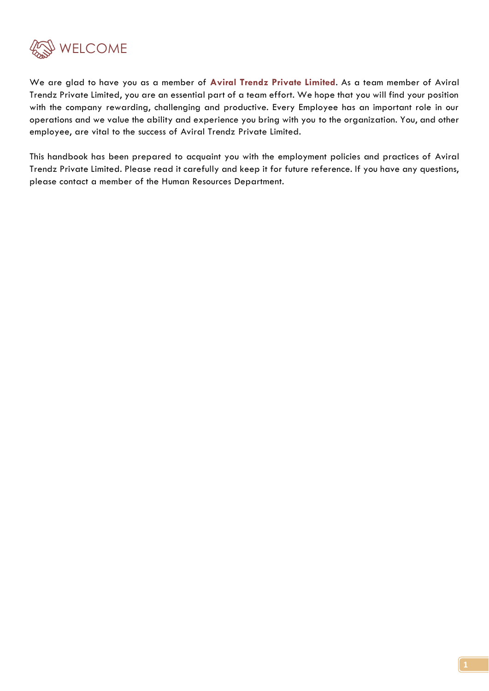

We are glad to have you as a member of **Aviral Trendz Private Limited**. As a team member of Aviral Trendz Private Limited, you are an essential part of a team effort. We hope that you will find your position with the company rewarding, challenging and productive. Every Employee has an important role in our operations and we value the ability and experience you bring with you to the organization. You, and other employee, are vital to the success of Aviral Trendz Private Limited.

This handbook has been prepared to acquaint you with the employment policies and practices of Aviral Trendz Private Limited. Please read it carefully and keep it for future reference. If you have any questions, please contact a member of the Human Resources Department.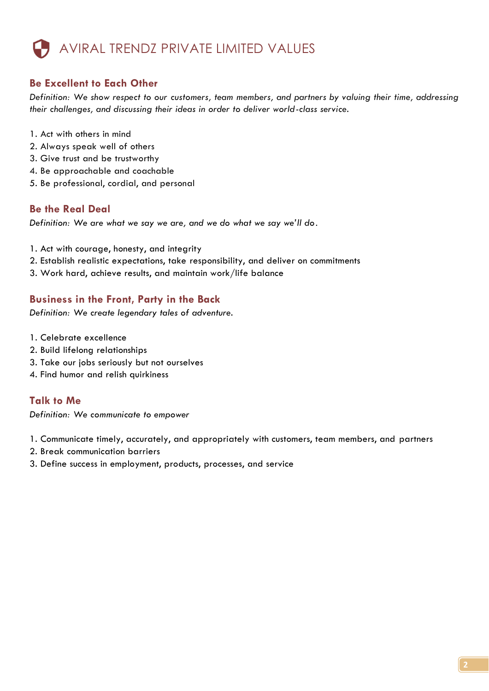### AVIRAL TRENDZ PRIVATE LIMITED VALUES

#### **Be Excellent to Each Other**

*Definition: We show respect to our customers, team members, and partners by valuing their time, addressing their challenges, and discussing their ideas in order to deliver world-class service.*

- 1. Act with others in mind
- 2. Always speak well of others
- 3. Give trust and be trustworthy
- 4. Be approachable and coachable
- 5. Be professional, cordial, and personal

#### **Be the Real Deal**

*Definition: We are what we say we are, and we do what we say we'll do*.

- 1. Act with courage, honesty, and integrity
- 2. Establish realistic expectations, take responsibility, and deliver on commitments
- 3. Work hard, achieve results, and maintain work/life balance

#### **Business in the Front, Party in the Back**

*Definition: We create legendary tales of adventure.*

- 1. Celebrate excellence
- 2. Build lifelong relationships
- 3. Take our jobs seriously but not ourselves
- 4. Find humor and relish quirkiness

#### **Talk to Me**

*Definition: We communicate to empower*

1. Communicate timely, accurately, and appropriately with customers, team members, and partners

- 2. Break communication barriers
- 3. Define success in employment, products, processes, and service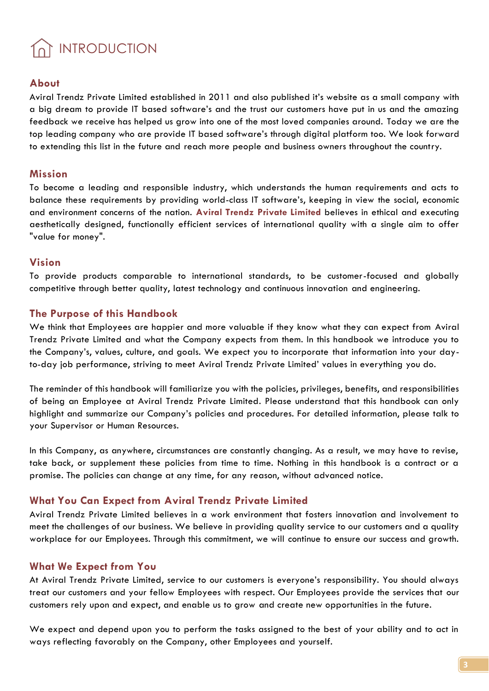## INTRODUCTION

#### **About**

Aviral Trendz Private Limited established in 2011 and also published it's website as a small company with a big dream to provide IT based software's and the trust our customers have put in us and the amazing feedback we receive has helped us grow into one of the most loved companies around. Today we are the top leading company who are provide IT based software's through digital platform too. We look forward to extending this list in the future and reach more people and business owners throughout the country.

#### **Mission**

To become a leading and responsible industry, which understands the human requirements and acts to balance these requirements by providing world-class IT software's, keeping in view the social, economic and environment concerns of the nation. **Aviral Trendz Private Limited** believes in ethical and executing aesthetically designed, functionally efficient services of international quality with a single aim to offer "value for money".

#### **Vision**

To provide products comparable to international standards, to be customer-focused and globally competitive through better quality, latest technology and continuous innovation and engineering.

#### **The Purpose of this Handbook**

We think that Employees are happier and more valuable if they know what they can expect from Aviral Trendz Private Limited and what the Company expects from them. In this handbook we introduce you to the Company's, values, culture, and goals. We expect you to incorporate that information into your dayto-day job performance, striving to meet Aviral Trendz Private Limited' values in everything you do.

The reminder of this handbook will familiarize you with the policies, privileges, benefits, and responsibilities of being an Employee at Aviral Trendz Private Limited. Please understand that this handbook can only highlight and summarize our Company's policies and procedures. For detailed information, please talk to your Supervisor or Human Resources.

In this Company, as anywhere, circumstances are constantly changing. As a result, we may have to revise, take back, or supplement these policies from time to time. Nothing in this handbook is a contract or a promise. The policies can change at any time, for any reason, without advanced notice.

#### **What You Can Expect from Aviral Trendz Private Limited**

Aviral Trendz Private Limited believes in a work environment that fosters innovation and involvement to meet the challenges of our business. We believe in providing quality service to our customers and a quality workplace for our Employees. Through this commitment, we will continue to ensure our success and growth.

#### **What We Expect from You**

At Aviral Trendz Private Limited, service to our customers is everyone's responsibility. You should always treat our customers and your fellow Employees with respect. Our Employees provide the services that our customers rely upon and expect, and enable us to grow and create new opportunities in the future.

We expect and depend upon you to perform the tasks assigned to the best of your ability and to act in ways reflecting favorably on the Company, other Employees and yourself.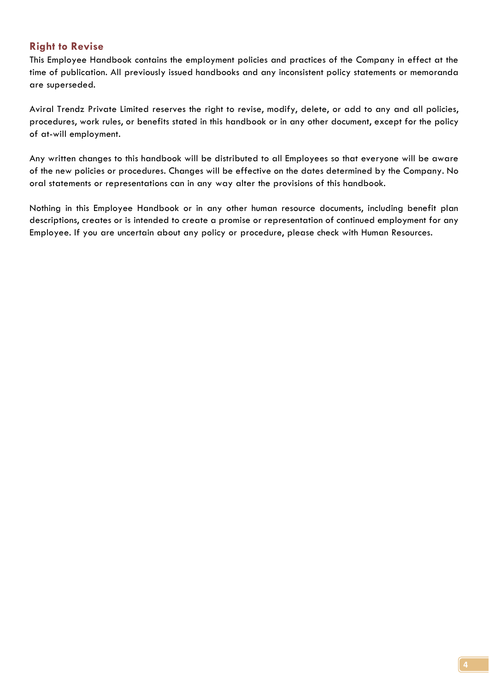#### **Right to Revise**

This Employee Handbook contains the employment policies and practices of the Company in effect at the time of publication. All previously issued handbooks and any inconsistent policy statements or memoranda are superseded.

Aviral Trendz Private Limited reserves the right to revise, modify, delete, or add to any and all policies, procedures, work rules, or benefits stated in this handbook or in any other document, except for the policy of at-will employment.

Any written changes to this handbook will be distributed to all Employees so that everyone will be aware of the new policies or procedures. Changes will be effective on the dates determined by the Company. No oral statements or representations can in any way alter the provisions of this handbook.

Nothing in this Employee Handbook or in any other human resource documents, including benefit plan descriptions, creates or is intended to create a promise or representation of continued employment for any Employee. If you are uncertain about any policy or procedure, please check with Human Resources.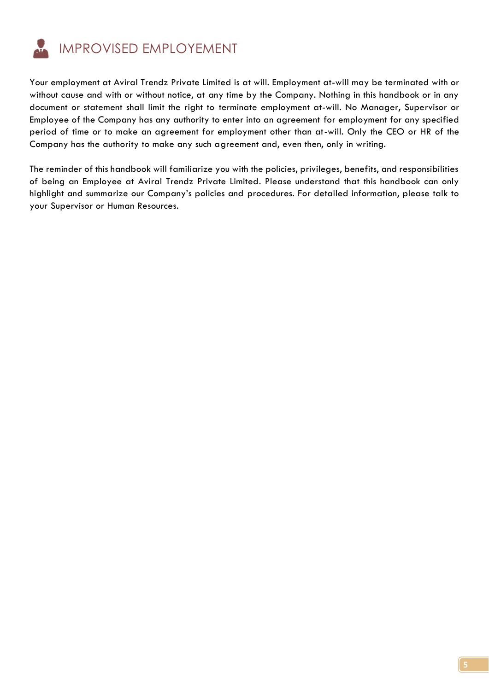

Your employment at Aviral Trendz Private Limited is at will. Employment at-will may be terminated with or without cause and with or without notice, at any time by the Company. Nothing in this handbook or in any document or statement shall limit the right to terminate employment at-will. No Manager, Supervisor or Employee of the Company has any authority to enter into an agreement for employment for any specified period of time or to make an agreement for employment other than at-will. Only the CEO or HR of the Company has the authority to make any such agreement and, even then, only in writing.

The reminder of this handbook will familiarize you with the policies, privileges, benefits, and responsibilities of being an Employee at Aviral Trendz Private Limited. Please understand that this handbook can only highlight and summarize our Company's policies and procedures. For detailed information, please talk to your Supervisor or Human Resources.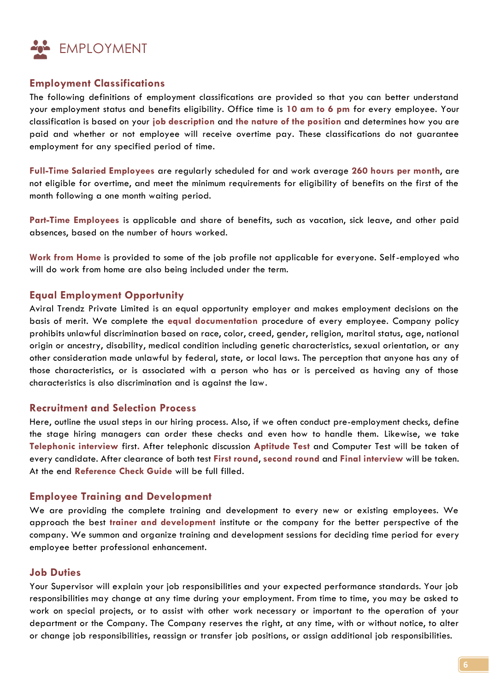

#### **Employment Classifications**

The following definitions of employment classifications are provided so that you can better understand your employment status and benefits eligibility. Office time is **10 am to 6 pm** for every employee. Your classification is based on your **job description** and **the nature of the position** and determines how you are paid and whether or not employee will receive overtime pay. These classifications do not guarantee employment for any specified period of time.

**Full-Time Salaried Employees** are regularly scheduled for and work average **260 hours per month**, are not eligible for overtime, and meet the minimum requirements for eligibility of benefits on the first of the month following a one month waiting period.

**Part-Time Employees** is applicable and share of benefits, such as vacation, sick leave, and other paid absences, based on the number of hours worked.

**Work from Home** is provided to some of the job profile not applicable for everyone. Self-employed who will do work from home are also being included under the term.

#### **Equal Employment Opportunity**

Aviral Trendz Private Limited is an equal opportunity employer and makes employment decisions on the basis of merit. We complete the **equal documentation** procedure of every employee. Company policy prohibits unlawful discrimination based on race, color, creed, gender, religion, marital status, age, national origin or ancestry, disability, medical condition including genetic characteristics, sexual orientation, or any other consideration made unlawful by federal, state, or local laws. The perception that anyone has any of those characteristics, or is associated with a person who has or is perceived as having any of those characteristics is also discrimination and is against the law.

#### **Recruitment and Selection Process**

Here, outline the usual steps in our hiring process. Also, if we often conduct pre-employment checks, define the stage hiring managers can order these checks and even how to handle them. Likewise, we take **Telephonic interview** first**.** After telephonic discussion **Aptitude Test** and Computer Test will be taken of every candidate. After clearance of both test **First round**, **second round** and **Final interview** will be taken. At the end **Reference Check Guide** will be full filled.

#### **Employee Training and Development**

We are providing the complete training and development to every new or existing employees. We approach the best **trainer and development** institute or the company for the better perspective of the company. We summon and organize training and development sessions for deciding time period for every employee better professional enhancement.

#### **Job Duties**

Your Supervisor will explain your job responsibilities and your expected performance standards. Your job responsibilities may change at any time during your employment. From time to time, you may be asked to work on special projects, or to assist with other work necessary or important to the operation of your department or the Company. The Company reserves the right, at any time, with or without notice, to alter or change job responsibilities, reassign or transfer job positions, or assign additional job responsibilities.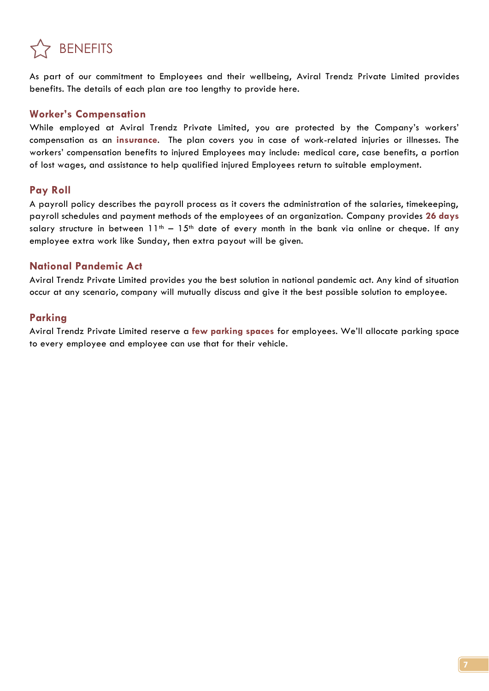

As part of our commitment to Employees and their wellbeing, Aviral Trendz Private Limited provides benefits. The details of each plan are too lengthy to provide here.

#### **Worker's Compensation**

While employed at Aviral Trendz Private Limited, you are protected by the Company's workers' compensation as an **insurance**. The plan covers you in case of work-related injuries or illnesses. The workers' compensation benefits to injured Employees may include: medical care, case benefits, a portion of lost wages, and assistance to help qualified injured Employees return to suitable employment.

#### **Pay Roll**

A payroll policy describes the payroll process as it covers the administration of the salaries, timekeeping, payroll schedules and payment methods of the employees of an organization. Company provides **26 days** salary structure in between  $11^{th} - 15^{th}$  date of every month in the bank via online or cheque. If any employee extra work like Sunday, then extra payout will be given.

#### **National Pandemic Act**

Aviral Trendz Private Limited provides you the best solution in national pandemic act. Any kind of situation occur at any scenario, company will mutually discuss and give it the best possible solution to employee.

#### **Parking**

Aviral Trendz Private Limited reserve a **few parking spaces** for employees. We'll allocate parking space to every employee and employee can use that for their vehicle.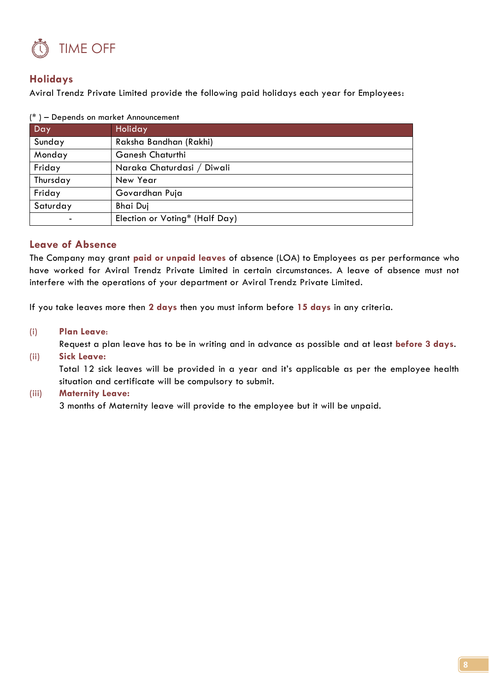

#### **Holidays**

Aviral Trendz Private Limited provide the following paid holidays each year for Employees:

| Day                                  | Holiday                        |  |
|--------------------------------------|--------------------------------|--|
| Sunday                               | Raksha Bandhan (Rakhi)         |  |
| Monday                               | <b>Ganesh Chaturthi</b>        |  |
| Friday<br>Naraka Chaturdasi / Diwali |                                |  |
| Thursday                             | New Year                       |  |
| Friday                               | Govardhan Puja                 |  |
| Saturday                             | <b>Bhai Duj</b>                |  |
|                                      | Election or Voting* (Half Day) |  |

|  | (*) – Depends on market Announcement |
|--|--------------------------------------|
|  |                                      |

#### **Leave of Absence**

The Company may grant **paid or unpaid leaves** of absence (LOA) to Employees as per performance who have worked for Aviral Trendz Private Limited in certain circumstances. A leave of absence must not interfere with the operations of your department or Aviral Trendz Private Limited.

If you take leaves more then **2 days** then you must inform before **15 days** in any criteria.

#### (i) **Plan Leave**:

Request a plan leave has to be in writing and in advance as possible and at least **before 3 days**. (ii) **Sick Leave:**

Total 12 sick leaves will be provided in a year and it's applicable as per the employee health situation and certificate will be compulsory to submit.

#### (iii) **Maternity Leave:**

3 months of Maternity leave will provide to the employee but it will be unpaid.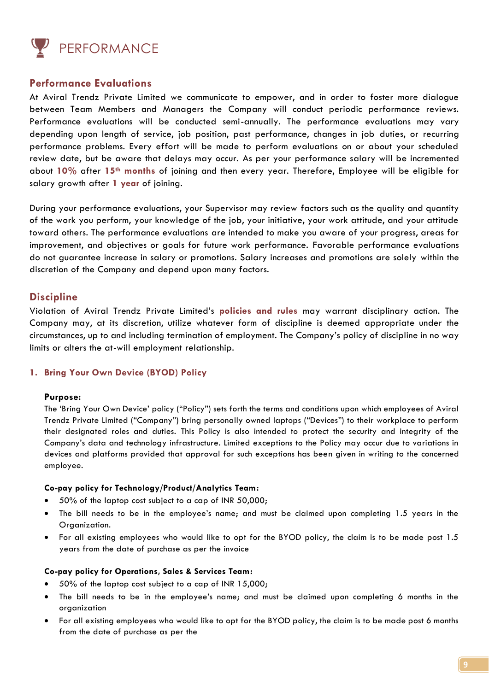

#### **Performance Evaluations**

At Aviral Trendz Private Limited we communicate to empower, and in order to foster more dialogue between Team Members and Managers the Company will conduct periodic performance reviews. Performance evaluations will be conducted semi-annually. The performance evaluations may vary depending upon length of service, job position, past performance, changes in job duties, or recurring performance problems. Every effort will be made to perform evaluations on or about your scheduled review date, but be aware that delays may occur. As per your performance salary will be incremented about **10%** after **15th months** of joining and then every year. Therefore, Employee will be eligible for salary growth after **1 year** of joining.

During your performance evaluations, your Supervisor may review factors such as the quality and quantity of the work you perform, your knowledge of the job, your initiative, your work attitude, and your attitude toward others. The performance evaluations are intended to make you aware of your progress, areas for improvement, and objectives or goals for future work performance. Favorable performance evaluations do not guarantee increase in salary or promotions. Salary increases and promotions are solely within the discretion of the Company and depend upon many factors.

#### **Discipline**

Violation of Aviral Trendz Private Limited's **policies and rules** may warrant disciplinary action. The Company may, at its discretion, utilize whatever form of discipline is deemed appropriate under the circumstances, up to and including termination of employment. The Company's policy of discipline in no way limits or alters the at-will employment relationship.

#### **1. Bring Your Own Device (BYOD) Policy**

#### **Purpose:**

The 'Bring Your Own Device' policy ("Policy") sets forth the terms and conditions upon which employees of Aviral Trendz Private Limited ("Company") bring personally owned laptops ("Devices") to their workplace to perform their designated roles and duties. This Policy is also intended to protect the security and integrity of the Company's data and technology infrastructure. Limited exceptions to the Policy may occur due to variations in devices and platforms provided that approval for such exceptions has been given in writing to the concerned employee.

#### **Co-pay policy for Technology/Product/Analytics Team:**

- 50% of the laptop cost subject to a cap of INR 50,000;
- The bill needs to be in the employee's name; and must be claimed upon completing 1.5 years in the Organization.
- For all existing employees who would like to opt for the BYOD policy, the claim is to be made post 1.5 years from the date of purchase as per the invoice

#### **Co-pay policy for Operations, Sales & Services Team:**

- 50% of the laptop cost subject to a cap of INR 15,000;
- The bill needs to be in the employee's name; and must be claimed upon completing 6 months in the organization
- For all existing employees who would like to opt for the BYOD policy, the claim is to be made post 6 months from the date of purchase as per the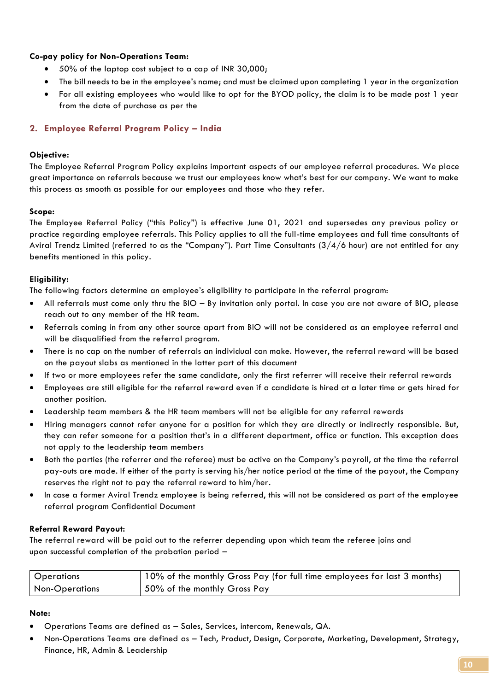#### **Co-pay policy for Non-Operations Team:**

- 50% of the laptop cost subject to a cap of INR 30,000;
- The bill needs to be in the employee's name; and must be claimed upon completing 1 year in the organization
- For all existing employees who would like to opt for the BYOD policy, the claim is to be made post 1 year from the date of purchase as per the

#### **2. Employee Referral Program Policy – India**

#### **Objective:**

The Employee Referral Program Policy explains important aspects of our employee referral procedures. We place great importance on referrals because we trust our employees know what's best for our company. We want to make this process as smooth as possible for our employees and those who they refer.

#### **Scope:**

The Employee Referral Policy ("this Policy") is effective June 01, 2021 and supersedes any previous policy or practice regarding employee referrals. This Policy applies to all the full-time employees and full time consultants of Aviral Trendz Limited (referred to as the "Company"). Part Time Consultants (3/4/6 hour) are not entitled for any benefits mentioned in this policy.

#### **Eligibility:**

The following factors determine an employee's eligibility to participate in the referral program:

- All referrals must come only thru the BIO By invitation only portal. In case you are not aware of BIO, please reach out to any member of the HR team.
- Referrals coming in from any other source apart from BIO will not be considered as an employee referral and will be disqualified from the referral program.
- There is no cap on the number of referrals an individual can make. However, the referral reward will be based on the payout slabs as mentioned in the latter part of this document
- If two or more employees refer the same candidate, only the first referrer will receive their referral rewards
- Employees are still eligible for the referral reward even if a candidate is hired at a later time or gets hired for another position.
- Leadership team members & the HR team members will not be eligible for any referral rewards
- Hiring managers cannot refer anyone for a position for which they are directly or indirectly responsible. But, they can refer someone for a position that's in a different department, office or function. This exception does not apply to the leadership team members
- Both the parties (the referrer and the referee) must be active on the Company's payroll, at the time the referral pay-outs are made. If either of the party is serving his/her notice period at the time of the payout, the Company reserves the right not to pay the referral reward to him/her.
- In case a former Aviral Trendz employee is being referred, this will not be considered as part of the employee referral program Confidential Document

#### **Referral Reward Payout:**

The referral reward will be paid out to the referrer depending upon which team the referee joins and upon successful completion of the probation period –

| <b>Operations</b>     | 10% of the monthly Gross Pay (for full time employees for last 3 months) |
|-----------------------|--------------------------------------------------------------------------|
| <b>Non-Operations</b> | 50% of the monthly Gross Pay                                             |

#### **Note:**

- Operations Teams are defined as Sales, Services, intercom, Renewals, QA.
- Non-Operations Teams are defined as Tech, Product, Design, Corporate, Marketing, Development, Strategy, Finance, HR, Admin & Leadership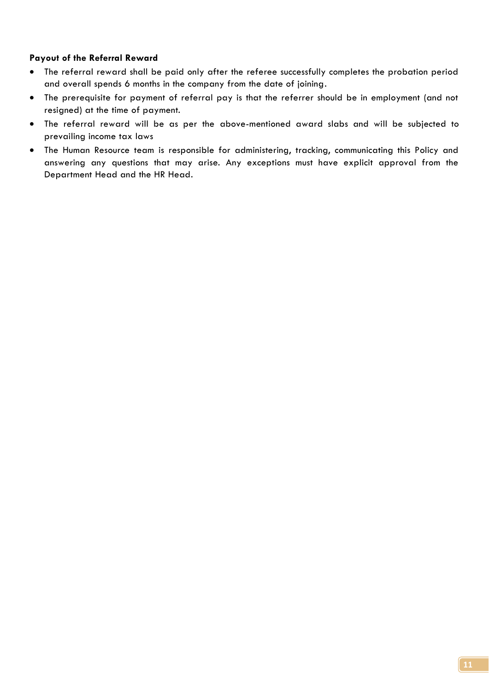#### **Payout of the Referral Reward**

- The referral reward shall be paid only after the referee successfully completes the probation period and overall spends 6 months in the company from the date of joining.
- The prerequisite for payment of referral pay is that the referrer should be in employment (and not resigned) at the time of payment.
- The referral reward will be as per the above-mentioned award slabs and will be subjected to prevailing income tax laws
- The Human Resource team is responsible for administering, tracking, communicating this Policy and answering any questions that may arise. Any exceptions must have explicit approval from the Department Head and the HR Head.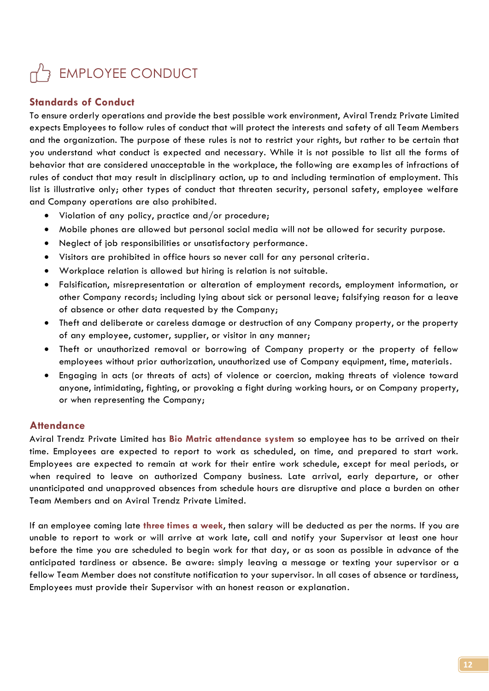## EMPLOYEE CONDUCT

#### **Standards of Conduct**

To ensure orderly operations and provide the best possible work environment, Aviral Trendz Private Limited expects Employees to follow rules of conduct that will protect the interests and safety of all Team Members and the organization. The purpose of these rules is not to restrict your rights, but rather to be certain that you understand what conduct is expected and necessary. While it is not possible to list all the forms of behavior that are considered unacceptable in the workplace, the following are examples of infractions of rules of conduct that may result in disciplinary action, up to and including termination of employment. This list is illustrative only; other types of conduct that threaten security, personal safety, employee welfare and Company operations are also prohibited.

- Violation of any policy, practice and/or procedure;
- Mobile phones are allowed but personal social media will not be allowed for security purpose.
- Neglect of job responsibilities or unsatisfactory performance.
- Visitors are prohibited in office hours so never call for any personal criteria.
- Workplace relation is allowed but hiring is relation is not suitable.
- Falsification, misrepresentation or alteration of employment records, employment information, or other Company records; including lying about sick or personal leave; falsifying reason for a leave of absence or other data requested by the Company;
- Theft and deliberate or careless damage or destruction of any Company property, or the property of any employee, customer, supplier, or visitor in any manner;
- Theft or unauthorized removal or borrowing of Company property or the property of fellow employees without prior authorization, unauthorized use of Company equipment, time, materials.
- Engaging in acts (or threats of acts) of violence or coercion, making threats of violence toward anyone, intimidating, fighting, or provoking a fight during working hours, or on Company property, or when representing the Company;

#### **Attendance**

Aviral Trendz Private Limited has **Bio Matric attendance system** so employee has to be arrived on their time. Employees are expected to report to work as scheduled, on time, and prepared to start work. Employees are expected to remain at work for their entire work schedule, except for meal periods, or when required to leave on authorized Company business. Late arrival, early departure, or other unanticipated and unapproved absences from schedule hours are disruptive and place a burden on other Team Members and on Aviral Trendz Private Limited.

If an employee coming late **three times a week**, then salary will be deducted as per the norms. If you are unable to report to work or will arrive at work late, call and notify your Supervisor at least one hour before the time you are scheduled to begin work for that day, or as soon as possible in advance of the anticipated tardiness or absence. Be aware: simply leaving a message or texting your supervisor or a fellow Team Member does not constitute notification to your supervisor. In all cases of absence or tardiness, Employees must provide their Supervisor with an honest reason or explanation.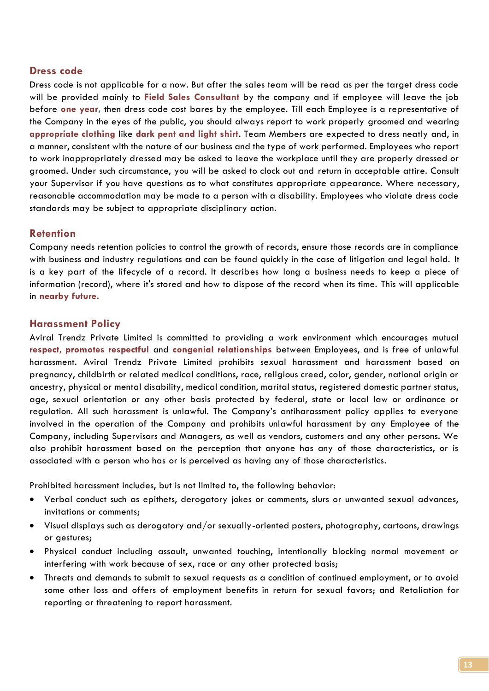#### **Dress code**

Dress code is not applicable for a now. But after the sales team will be read as per the target dress code will be provided mainly to **Field Sales Consultant** by the company and if employee will leave the job before **one year,** then dress code cost bares by the employee. Till each Employee is a representative of the Company in the eyes of the public, you should always report to work properly groomed and wearing **appropriate clothing** like **dark pent and light shirt**. Team Members are expected to dress neatly and, in a manner, consistent with the nature of our business and the type of work performed. Employees who report to work inappropriately dressed may be asked to leave the workplace until they are properly dressed or groomed. Under such circumstance, you will be asked to clock out and return in acceptable attire. Consult your Supervisor if you have questions as to what constitutes appropriate appearance. Where necessary, reasonable accommodation may be made to a person with a disability. Employees who violate dress code standards may be subject to appropriate disciplinary action.

#### **Retention**

Company needs retention policies to control the growth of records, ensure those records are in compliance with business and industry regulations and can be found quickly in the case of litigation and legal hold. It is a key part of the lifecycle of a record. It describes how long a business needs to keep a piece of information (record), where it's stored and how to dispose of the record when its time. This will applicable in **nearby future.**

#### **Harassment Policy**

Aviral Trendz Private Limited is committed to providing a work environment which encourages mutual **respect, promotes respectful** and **congenial relationships** between Employees, and is free of unlawful harassment. Aviral Trendz Private Limited prohibits sexual harassment and harassment based on pregnancy, childbirth or related medical conditions, race, religious creed, color, gender, national origin or ancestry, physical or mental disability, medical condition, marital status, registered domestic partner status, age, sexual orientation or any other basis protected by federal, state or local law or ordinance or regulation. All such harassment is unlawful. The Company's antiharassment policy applies to everyone involved in the operation of the Company and prohibits unlawful harassment by any Employee of the Company, including Supervisors and Managers, as well as vendors, customers and any other persons. We also prohibit harassment based on the perception that anyone has any of those characteristics, or is associated with a person who has or is perceived as having any of those characteristics.

Prohibited harassment includes, but is not limited to, the following behavior:

- Verbal conduct such as epithets, derogatory jokes or comments, slurs or unwanted sexual advances, invitations or comments;
- Visual displays such as derogatory and/or sexually-oriented posters, photography, cartoons, drawings or gestures;
- Physical conduct including assault, unwanted touching, intentionally blocking normal movement or interfering with work because of sex, race or any other protected basis;
- Threats and demands to submit to sexual requests as a condition of continued employment, or to avoid some other loss and offers of employment benefits in return for sexual favors; and Retaliation for reporting or threatening to report harassment.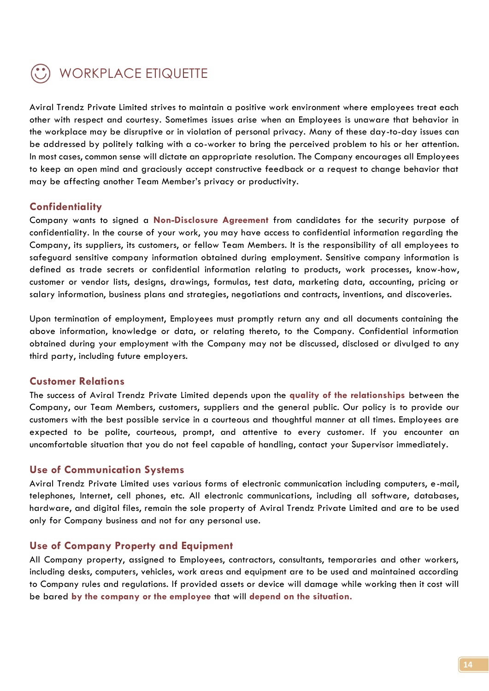

Aviral Trendz Private Limited strives to maintain a positive work environment where employees treat each other with respect and courtesy. Sometimes issues arise when an Employees is unaware that behavior in the workplace may be disruptive or in violation of personal privacy. Many of these day-to-day issues can be addressed by politely talking with a co-worker to bring the perceived problem to his or her attention. In most cases, common sense will dictate an appropriate resolution. The Company encourages all Employees to keep an open mind and graciously accept constructive feedback or a request to change behavior that may be affecting another Team Member's privacy or productivity.

#### **Confidentiality**

Company wants to signed a **Non-Disclosure Agreement** from candidates for the security purpose of confidentiality. In the course of your work, you may have access to confidential information regarding the Company, its suppliers, its customers, or fellow Team Members. It is the responsibility of all employees to safeguard sensitive company information obtained during employment. Sensitive company information is defined as trade secrets or confidential information relating to products, work processes, know-how, customer or vendor lists, designs, drawings, formulas, test data, marketing data, accounting, pricing or salary information, business plans and strategies, negotiations and contracts, inventions, and discoveries.

Upon termination of employment, Employees must promptly return any and all documents containing the above information, knowledge or data, or relating thereto, to the Company. Confidential information obtained during your employment with the Company may not be discussed, disclosed or divulged to any third party, including future employers.

#### **Customer Relations**

The success of Aviral Trendz Private Limited depends upon the **quality of the relationships** between the Company, our Team Members, customers, suppliers and the general public. Our policy is to provide our customers with the best possible service in a courteous and thoughtful manner at all times. Employees are expected to be polite, courteous, prompt, and attentive to every customer. If you encounter an uncomfortable situation that you do not feel capable of handling, contact your Supervisor immediately.

#### **Use of Communication Systems**

Aviral Trendz Private Limited uses various forms of electronic communication including computers, e-mail, telephones, Internet, cell phones, etc. All electronic communications, including all software, databases, hardware, and digital files, remain the sole property of Aviral Trendz Private Limited and are to be used only for Company business and not for any personal use.

#### **Use of Company Property and Equipment**

All Company property, assigned to Employees, contractors, consultants, temporaries and other workers, including desks, computers, vehicles, work areas and equipment are to be used and maintained according to Company rules and regulations. If provided assets or device will damage while working then it cost will be bared **by the company or the employee** that will **depend on the situation.**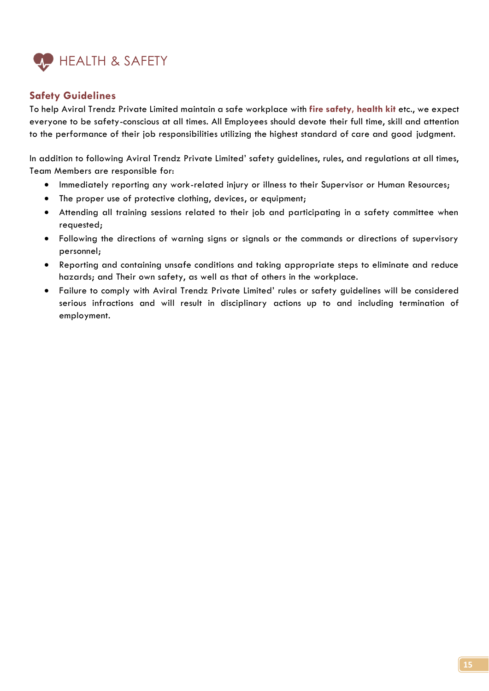

#### **Safety Guidelines**

To help Aviral Trendz Private Limited maintain a safe workplace with **fire safety, health kit** etc., we expect everyone to be safety-conscious at all times. All Employees should devote their full time, skill and attention to the performance of their job responsibilities utilizing the highest standard of care and good judgment.

In addition to following Aviral Trendz Private Limited' safety guidelines, rules, and regulations at all times, Team Members are responsible for:

- Immediately reporting any work-related injury or illness to their Supervisor or Human Resources;
- The proper use of protective clothing, devices, or equipment;
- Attending all training sessions related to their job and participating in a safety committee when requested;
- Following the directions of warning signs or signals or the commands or directions of supervisory personnel;
- Reporting and containing unsafe conditions and taking appropriate steps to eliminate and reduce hazards; and Their own safety, as well as that of others in the workplace.
- Failure to comply with Aviral Trendz Private Limited' rules or safety guidelines will be considered serious infractions and will result in disciplinary actions up to and including termination of employment.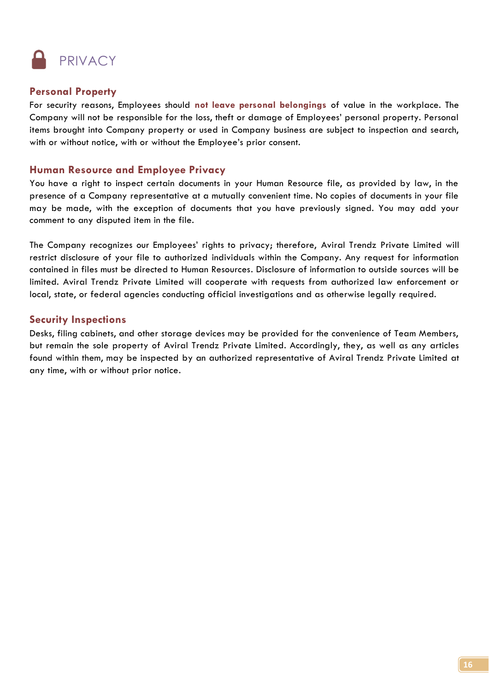

#### **Personal Property**

For security reasons, Employees should **not leave personal belongings** of value in the workplace. The Company will not be responsible for the loss, theft or damage of Employees' personal property. Personal items brought into Company property or used in Company business are subject to inspection and search, with or without notice, with or without the Employee's prior consent.

#### **Human Resource and Employee Privacy**

You have a right to inspect certain documents in your Human Resource file, as provided by law, in the presence of a Company representative at a mutually convenient time. No copies of documents in your file may be made, with the exception of documents that you have previously signed. You may add your comment to any disputed item in the file.

The Company recognizes our Employees' rights to privacy; therefore, Aviral Trendz Private Limited will restrict disclosure of your file to authorized individuals within the Company. Any request for information contained in files must be directed to Human Resources. Disclosure of information to outside sources will be limited. Aviral Trendz Private Limited will cooperate with requests from authorized law enforcement or local, state, or federal agencies conducting official investigations and as otherwise legally required.

#### **Security Inspections**

Desks, filing cabinets, and other storage devices may be provided for the convenience of Team Members, but remain the sole property of Aviral Trendz Private Limited. Accordingly, they, as well as any articles found within them, may be inspected by an authorized representative of Aviral Trendz Private Limited at any time, with or without prior notice.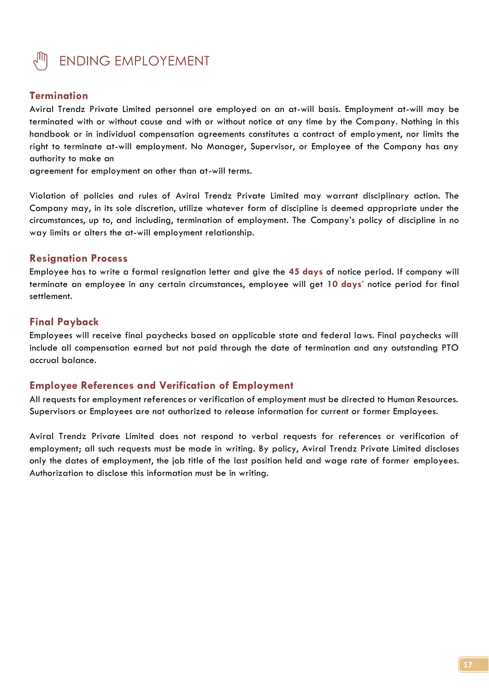

#### **Termination**

Aviral Trendz Private Limited personnel are employed on an at-will basis. Employment at-will may be terminated with or without cause and with or without notice at any time by the Company. Nothing in this handbook or in individual compensation agreements constitutes a contract of employment, nor limits the right to terminate at-will employment. No Manager, Supervisor, or Employee of the Company has any authority to make an

agreement for employment on other than at-will terms.

Violation of policies and rules of Aviral Trendz Private Limited may warrant disciplinary action. The Company may, in its sole discretion, utilize whatever form of discipline is deemed appropriate under the circumstances, up to, and including, termination of employment. The Company's policy of discipline in no way limits or alters the at-will employment relationship.

#### **Resignation Process**

Employee has to write a formal resignation letter and give the **45 days** of notice period. If company will terminate an employee in any certain circumstances, employee will get **10 days**' notice period for final settlement.

#### **Final Payback**

Employees will receive final paychecks based on applicable state and federal laws. Final paychecks will include all compensation earned but not paid through the date of termination and any outstanding PTO accrual balance.

#### **Employee References and Verification of Employment**

All requests for employment references or verification of employment must be directed to Human Resources. Supervisors or Employees are not authorized to release information for current or former Employees.

Aviral Trendz Private Limited does not respond to verbal requests for references or verification of employment; all such requests must be made in writing. By policy, Aviral Trendz Private Limited discloses only the dates of employment, the job title of the last position held and wage rate of former employees. Authorization to disclose this information must be in writing.